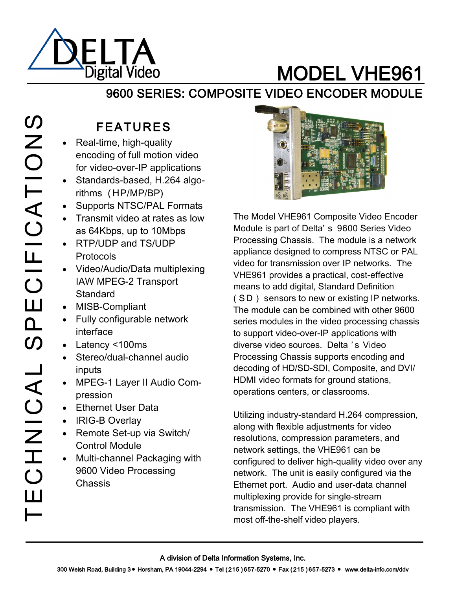

# MODEL VHE961

### 9600 SERIES: COMPOSITE VIDEO ENCODER MODULE

# $\boldsymbol{\mathcal{O}}$ TECHNICAL SPECIFICATIONS **ZOIFICATION**  $\boxed{\underline{\qquad \qquad }}$  $\mathbf{a}$  $\overline{\mathcal{O}}$ CHNICAL  $\Box$

# FEATURES

- Real-time, high-quality encoding of full motion video for video-over-IP applications
- Standards-based, H.264 algorithms ( HP/MP/BP)
- Supports NTSC/PAL Formats
- Transmit video at rates as low as 64Kbps, up to 10Mbps
- RTP/UDP and TS/UDP Protocols
- Video/Audio/Data multiplexing IAW MPEG-2 Transport **Standard**
- MISB-Compliant
- Fully configurable network interface
- Latency <100ms
- Stereo/dual-channel audio inputs
- MPEG-1 Layer II Audio Compression
- Ethernet User Data
- IRIG-B Overlay
- Remote Set-up via Switch/ Control Module
- Multi-channel Packaging with 9600 Video Processing Chassis



The Model VHE961 Composite Video Encoder Module is part of Delta' s 9600 Series Video Processing Chassis. The module is a network appliance designed to compress NTSC or PAL video for transmission over IP networks. The VHE961 provides a practical, cost-effective means to add digital, Standard Definition ( SD) sensors to new or existing IP networks. The module can be combined with other 9600 series modules in the video processing chassis to support video-over-IP applications with diverse video sources. Delta ' s Video Processing Chassis supports encoding and decoding of HD/SD-SDI, Composite, and DVI/ HDMI video formats for ground stations, operations centers, or classrooms.

Utilizing industry-standard H.264 compression, along with flexible adjustments for video resolutions, compression parameters, and network settings, the VHE961 can be configured to deliver high-quality video over any network. The unit is easily configured via the Ethernet port. Audio and user-data channel multiplexing provide for single-stream transmission. The VHE961 is compliant with most off-the-shelf video players.

A division of Delta Information Systems, Inc.